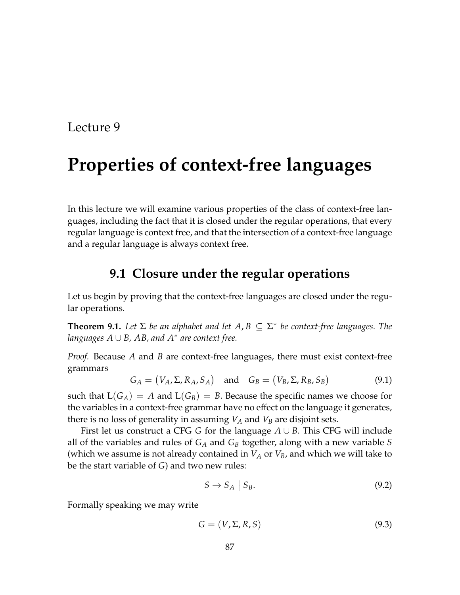# **Properties of context-free languages**

In this lecture we will examine various properties of the class of context-free languages, including the fact that it is closed under the regular operations, that every regular language is context free, and that the intersection of a context-free language and a regular language is always context free.

## **9.1 Closure under the regular operations**

Let us begin by proving that the context-free languages are closed under the regular operations.

<span id="page-0-0"></span>**Theorem 9.1.** Let  $\Sigma$  be an alphabet and let  $A, B \subseteq \Sigma^*$  be context-free languages. The *languages A* ∪ *B, AB, and A*<sup>∗</sup> *are context free.*

*Proof.* Because *A* and *B* are context-free languages, there must exist context-free grammars

$$
G_A = (V_A, \Sigma, R_A, S_A) \quad \text{and} \quad G_B = (V_B, \Sigma, R_B, S_B)
$$
 (9.1)

such that  $L(G_A) = A$  and  $L(G_B) = B$ . Because the specific names we choose for the variables in a context-free grammar have no effect on the language it generates, there is no loss of generality in assuming  $V_A$  and  $V_B$  are disjoint sets.

First let us construct a CFG *G* for the language *A* ∪ *B*. This CFG will include all of the variables and rules of *G<sup>A</sup>* and *G<sup>B</sup>* together, along with a new variable *S* (which we assume is not already contained in  $V_A$  or  $V_B$ , and which we will take to be the start variable of *G*) and two new rules:

$$
S \to S_A \mid S_B. \tag{9.2}
$$

Formally speaking we may write

$$
G = (V, \Sigma, R, S) \tag{9.3}
$$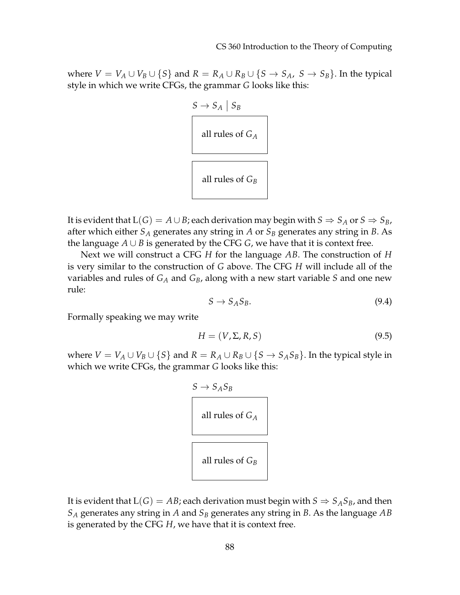where  $V = V_A \cup V_B \cup \{S\}$  and  $R = R_A \cup R_B \cup \{S \rightarrow S_A, S \rightarrow S_B\}$ . In the typical style in which we write CFGs, the grammar *G* looks like this:



It is evident that  $L(G) = A \cup B$ ; each derivation may begin with  $S \Rightarrow S_A$  or  $S \Rightarrow S_B$ , after which either  $S_A$  generates any string in *A* or  $S_B$  generates any string in *B*. As the language  $A ∪ B$  is generated by the CFG  $G$ , we have that it is context free.

Next we will construct a CFG *H* for the language *AB*. The construction of *H* is very similar to the construction of *G* above. The CFG *H* will include all of the variables and rules of *G<sup>A</sup>* and *GB*, along with a new start variable *S* and one new rule:

$$
S \to S_A S_B. \tag{9.4}
$$

Formally speaking we may write

$$
H = (V, \Sigma, R, S) \tag{9.5}
$$

where  $V = V_A \cup V_B \cup \{S\}$  and  $R = R_A \cup R_B \cup \{S \rightarrow S_A S_B\}$ . In the typical style in which we write CFGs, the grammar *G* looks like this:



It is evident that  $L(G) = AB$ ; each derivation must begin with  $S \Rightarrow S_A S_B$ , and then *S<sup>A</sup>* generates any string in *A* and *S<sup>B</sup>* generates any string in *B*. As the language *AB* is generated by the CFG *H*, we have that it is context free.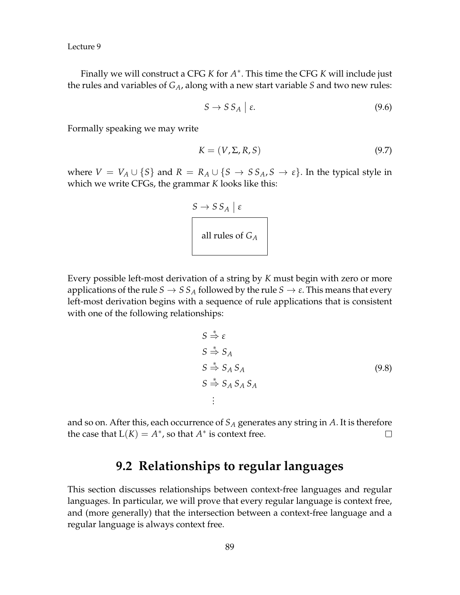Finally we will construct a CFG *K* for *A* ∗ . This time the CFG *K* will include just the rules and variables of *GA*, along with a new start variable *S* and two new rules:

$$
S \to S S_A \mid \varepsilon. \tag{9.6}
$$

Formally speaking we may write

$$
K = (V, \Sigma, R, S) \tag{9.7}
$$

where  $V = V_A \cup \{S\}$  and  $R = R_A \cup \{S \rightarrow SS_A, S \rightarrow \varepsilon\}$ . In the typical style in which we write CFGs, the grammar *K* looks like this:



Every possible left-most derivation of a string by *K* must begin with zero or more applications of the rule  $S \to SS_A$  followed by the rule  $S \to \varepsilon$ . This means that every left-most derivation begins with a sequence of rule applications that is consistent with one of the following relationships:

$$
S \stackrel{*}{\Rightarrow} \varepsilon
$$
  
\n
$$
S \stackrel{*}{\Rightarrow} S_A
$$
  
\n
$$
S \stackrel{*}{\Rightarrow} S_A S_A
$$
  
\n
$$
S \stackrel{*}{\Rightarrow} S_A S_A S_A
$$
  
\n
$$
\vdots
$$
  
\n(9.8)

and so on. After this, each occurrence of *S<sup>A</sup>* generates any string in *A*. It is therefore the case that  $L(K) = A^*$ , so that  $A^*$  is context free.  $\Box$ 

## **9.2 Relationships to regular languages**

This section discusses relationships between context-free languages and regular languages. In particular, we will prove that every regular language is context free, and (more generally) that the intersection between a context-free language and a regular language is always context free.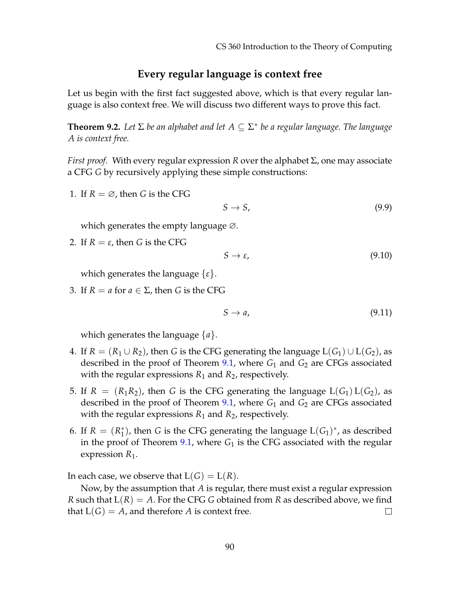#### **Every regular language is context free**

Let us begin with the first fact suggested above, which is that every regular language is also context free. We will discuss two different ways to prove this fact.

<span id="page-3-0"></span>**Theorem 9.2.** *Let* Σ *be an alphabet and let A* ⊆ Σ ∗ *be a regular language. The language A is context free.*

*First proof.* With every regular expression *R* over the alphabet Σ, one may associate a CFG *G* by recursively applying these simple constructions:

1. If  $R = \emptyset$ , then *G* is the CFG

$$
S \to S,\tag{9.9}
$$

which generates the empty language ∅.

2. If  $R = \varepsilon$ , then *G* is the CFG

$$
S \to \varepsilon,\tag{9.10}
$$

which generates the language {*ε*}.

3. If  $R = a$  for  $a \in \Sigma$ , then *G* is the CFG

$$
S \to a,\tag{9.11}
$$

which generates the language {*a*}.

- 4. If  $R = (R_1 \cup R_2)$ , then *G* is the CFG generating the language  $L(G_1) \cup L(G_2)$ , as described in the proof of Theorem [9.1,](#page-0-0) where *G*<sup>1</sup> and *G*<sup>2</sup> are CFGs associated with the regular expressions  $R_1$  and  $R_2$ , respectively.
- 5. If  $R = (R_1R_2)$ , then *G* is the CFG generating the language  $L(G_1) L(G_2)$ , as described in the proof of Theorem [9.1,](#page-0-0) where *G*<sup>1</sup> and *G*<sup>2</sup> are CFGs associated with the regular expressions  $R_1$  and  $R_2$ , respectively.
- 6. If  $R = (R_1^*$  $_1^*$ ), then *G* is the CFG generating the language  $L(G_1)^*$ , as described in the proof of Theorem  $9.1$ , where  $G_1$  is the CFG associated with the regular expression  $R_1$ .

In each case, we observe that  $L(G) = L(R)$ .

Now, by the assumption that *A* is regular, there must exist a regular expression *R* such that  $L(R) = A$ . For the CFG *G* obtained from *R* as described above, we find that  $L(G) = A$ , and therefore A is context free.  $\Box$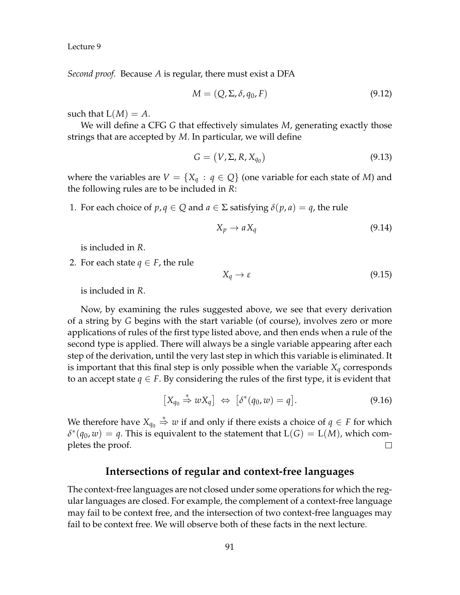*Second proof.* Because *A* is regular, there must exist a DFA

$$
M = (Q, \Sigma, \delta, q_0, F) \tag{9.12}
$$

such that  $L(M) = A$ .

We will define a CFG *G* that effectively simulates *M*, generating exactly those strings that are accepted by *M*. In particular, we will define

$$
G = (V, \Sigma, R, X_{q_0}) \tag{9.13}
$$

where the variables are  $V = \{X_q : q \in Q\}$  (one variable for each state of M) and the following rules are to be included in *R*:

1. For each choice of  $p, q \in Q$  and  $a \in \Sigma$  satisfying  $\delta(p, a) = q$ , the rule

$$
X_p \to aX_q \tag{9.14}
$$

is included in *R*.

2. For each state  $q \in F$ , the rule

$$
X_q \to \varepsilon \tag{9.15}
$$

is included in *R*.

Now, by examining the rules suggested above, we see that every derivation of a string by *G* begins with the start variable (of course), involves zero or more applications of rules of the first type listed above, and then ends when a rule of the second type is applied. There will always be a single variable appearing after each step of the derivation, until the very last step in which this variable is eliminated. It is important that this final step is only possible when the variable *X<sup>q</sup>* corresponds to an accept state  $q \in F$ . By considering the rules of the first type, it is evident that

$$
[X_{q_0} \stackrel{*}{\Rightarrow} wX_q] \Leftrightarrow [\delta^*(q_0, w) = q]. \tag{9.16}
$$

We therefore have  $X_{q_0} \overset{*}{\Rightarrow} w$  if and only if there exists a choice of  $q \in F$  for which  $\delta^*(q_0, w) = q$ . This is equivalent to the statement that  $L(G) = L(M)$ , which completes the proof.  $\Box$ 

### **Intersections of regular and context-free languages**

The context-free languages are not closed under some operations for which the regular languages are closed. For example, the complement of a context-free language may fail to be context free, and the intersection of two context-free languages may fail to be context free. We will observe both of these facts in the next lecture.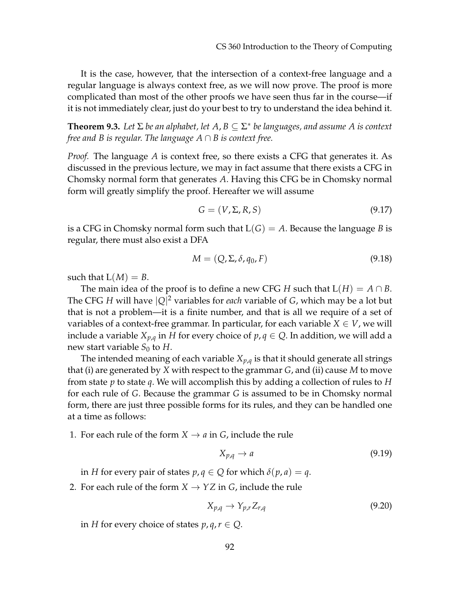It is the case, however, that the intersection of a context-free language and a regular language is always context free, as we will now prove. The proof is more complicated than most of the other proofs we have seen thus far in the course—if it is not immediately clear, just do your best to try to understand the idea behind it.

<span id="page-5-0"></span>**Theorem 9.3.** *Let* Σ *be an alphabet, let A*, *B* ⊆ Σ ∗ *be languages, and assume A is context free and B is regular. The language A* ∩ *B is context free.*

*Proof.* The language *A* is context free, so there exists a CFG that generates it. As discussed in the previous lecture, we may in fact assume that there exists a CFG in Chomsky normal form that generates *A*. Having this CFG be in Chomsky normal form will greatly simplify the proof. Hereafter we will assume

$$
G = (V, \Sigma, R, S) \tag{9.17}
$$

is a CFG in Chomsky normal form such that  $L(G) = A$ . Because the language *B* is regular, there must also exist a DFA

$$
M = (Q, \Sigma, \delta, q_0, F) \tag{9.18}
$$

such that  $L(M) = B$ .

The main idea of the proof is to define a new CFG *H* such that  $L(H) = A \cap B$ . The CFG *H* will have |*Q*| <sup>2</sup> variables for *each* variable of *G*, which may be a lot but that is not a problem—it is a finite number, and that is all we require of a set of variables of a context-free grammar. In particular, for each variable  $X \in V$ , we will include a variable  $X_{p,q}$  in *H* for every choice of  $p,q \in Q$ . In addition, we will add a new start variable  $S_0$  to *H*.

The intended meaning of each variable  $X_{p,q}$  is that it should generate all strings that (i) are generated by *X* with respect to the grammar *G*, and (ii) cause *M* to move from state *p* to state *q*. We will accomplish this by adding a collection of rules to *H* for each rule of *G*. Because the grammar *G* is assumed to be in Chomsky normal form, there are just three possible forms for its rules, and they can be handled one at a time as follows:

1. For each rule of the form  $X \rightarrow a$  in *G*, include the rule

$$
X_{p,q} \to a \tag{9.19}
$$

in *H* for every pair of states  $p, q \in Q$  for which  $\delta(p, a) = q$ .

2. For each rule of the form  $X \to YZ$  in *G*, include the rule

$$
X_{p,q} \to Y_{p,r} Z_{r,q} \tag{9.20}
$$

in *H* for every choice of states  $p, q, r \in Q$ .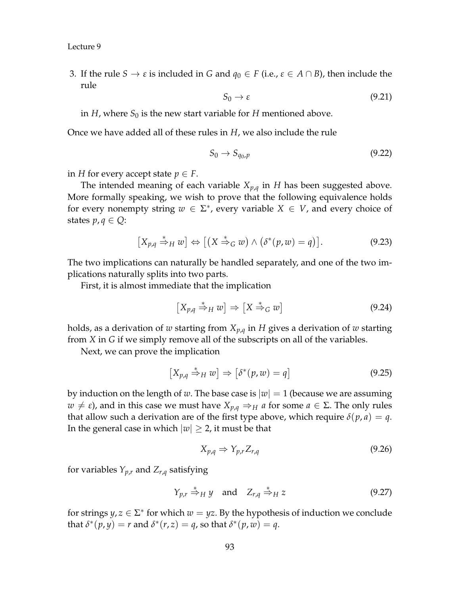3. If the rule  $S \to \varepsilon$  is included in *G* and  $q_0 \in F$  (i.e.,  $\varepsilon \in A \cap B$ ), then include the rule

$$
S_0 \to \varepsilon \tag{9.21}
$$

in *H*, where  $S_0$  is the new start variable for *H* mentioned above.

Once we have added all of these rules in *H*, we also include the rule

$$
S_0 \to S_{q_0, p} \tag{9.22}
$$

in *H* for every accept state  $p \in F$ .

The intended meaning of each variable  $X_{p,q}$  in *H* has been suggested above. More formally speaking, we wish to prove that the following equivalence holds for every nonempty string  $w \in \Sigma^*$ , every variable  $X \in V$ , and every choice of states  $p, q \in Q$ :

$$
[X_{p,q} \stackrel{*}{\Rightarrow}_H w] \Leftrightarrow [(X \stackrel{*}{\Rightarrow}_G w) \wedge (\delta^*(p,w) = q)]. \tag{9.23}
$$

The two implications can naturally be handled separately, and one of the two implications naturally splits into two parts.

First, it is almost immediate that the implication

$$
\left[X_{p,q} \stackrel{*}{\Rightarrow}_H w\right] \Rightarrow \left[X \stackrel{*}{\Rightarrow}_G w\right] \tag{9.24}
$$

holds, as a derivation of *w* starting from *Xp*,*<sup>q</sup>* in *H* gives a derivation of *w* starting from *X* in *G* if we simply remove all of the subscripts on all of the variables.

Next, we can prove the implication

$$
\left[X_{p,q} \stackrel{*}{\Rightarrow}_H w\right] \Rightarrow \left[\delta^*(p,w) = q\right] \tag{9.25}
$$

by induction on the length of *w*. The base case is  $|w| = 1$  (because we are assuming  $w \neq \varepsilon$ ), and in this case we must have  $X_{p,q} \Rightarrow_H a$  for some  $a \in \Sigma$ . The only rules that allow such a derivation are of the first type above, which require  $\delta(p, a) = q$ . In the general case in which  $|w| \geq 2$ , it must be that

$$
X_{p,q} \Rightarrow Y_{p,r} Z_{r,q} \tag{9.26}
$$

for variables  $Y_{p,r}$  and  $Z_{r,q}$  satisfying

$$
Y_{p,r} \stackrel{*}{\Rightarrow}_H y \quad \text{and} \quad Z_{r,q} \stackrel{*}{\Rightarrow}_H z \tag{9.27}
$$

for strings  $y, z \in \Sigma^*$  for which  $w = yz$ . By the hypothesis of induction we conclude that  $\delta^*(p, y) = r$  and  $\delta^*(r, z) = q$ , so that  $\delta^*(p, w) = q$ .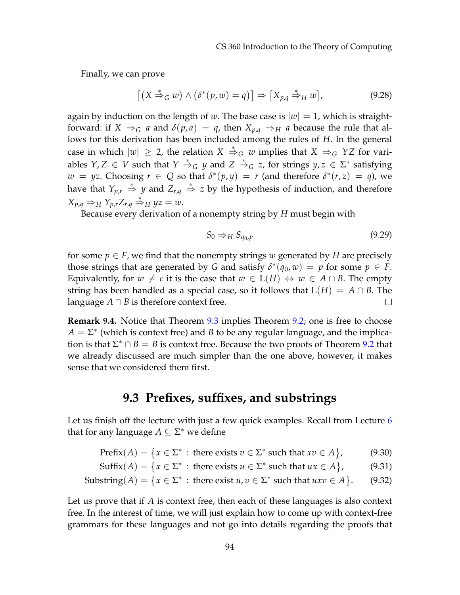Finally, we can prove

$$
[(X \stackrel{*}{\Rightarrow}_G w) \wedge (\delta^*(p, w) = q)] \Rightarrow [X_{p,q} \stackrel{*}{\Rightarrow}_H w], \qquad (9.28)
$$

again by induction on the length of *w*. The base case is  $|w| = 1$ , which is straightforward: if  $X \Rightarrow_G a$  and  $\delta(p, a) = q$ , then  $X_{p,q} \Rightarrow_H a$  because the rule that allows for this derivation has been included among the rules of *H*. In the general case in which  $|w| \geq 2$ , the relation  $X \stackrel{*}{\Rightarrow}_G w$  implies that  $X \Rightarrow_G YZ$  for variables  $Y, Z \in V$  such that  $Y \stackrel{*}{\Rightarrow}_G y$  and  $Z \stackrel{*}{\Rightarrow}_G z$ , for strings  $y, z \in \Sigma^*$  satisfying  $w = yz$ . Choosing  $r \in Q$  so that  $\delta^*(p, y) = r$  (and therefore  $\delta^*(r, z) = q$ ), we have that  $Y_{p,r} \stackrel{*}{\Rightarrow} y$  and  $Z_{r,q} \stackrel{*}{\Rightarrow} z$  by the hypothesis of induction, and therefore  $X_{p,q} \Rightarrow H Y_{p,r} Z_{r,q} \stackrel{*}{\Rightarrow} H yz = w.$ 

Because every derivation of a nonempty string by *H* must begin with

$$
S_0 \Rightarrow_H S_{q_0, p} \tag{9.29}
$$

for some  $p \in F$ , we find that the nonempty strings *w* generated by *H* are precisely those strings that are generated by *G* and satisfy  $\delta^*(q_0, w) = p$  for some  $p \in F$ . Equivalently, for  $w \neq \varepsilon$  it is the case that  $w \in L(H) \Leftrightarrow w \in A \cap B$ . The empty string has been handled as a special case, so it follows that  $L(H) = A \cap B$ . The language  $A \cap B$  is therefore context free.  $\Box$ 

**Remark 9.4.** Notice that Theorem [9.3](#page-5-0) implies Theorem [9.2;](#page-3-0) one is free to choose  $A = \Sigma^*$  (which is context free) and *B* to be any regular language, and the implication is that  $\Sigma^* \cap B = B$  is context free. Because the two proofs of Theorem [9.2](#page-3-0) that we already discussed are much simpler than the one above, however, it makes sense that we considered them first.

## **9.3 Prefixes, suffixes, and substrings**

Let us finish off the lecture with just a few quick examples. Recall from Lecture [6](#page--1-0) that for any language  $A \subseteq \Sigma^*$  we define

Prefix $(A) = \{x \in \Sigma^* : \text{there exists } v \in \Sigma^* \text{ such that } xv \in A\}$  $(9.30)$ 

$$
\text{Suffix}(A) = \{x \in \Sigma^* : \text{there exists } u \in \Sigma^* \text{ such that } ux \in A\},\tag{9.31}
$$

Substring(*A*) = {
$$
x \in \Sigma^*
$$
 : there exist  $u, v \in \Sigma^*$  such that  $uxv \in A$ }. (9.32)

Let us prove that if *A* is context free, then each of these languages is also context free. In the interest of time, we will just explain how to come up with context-free grammars for these languages and not go into details regarding the proofs that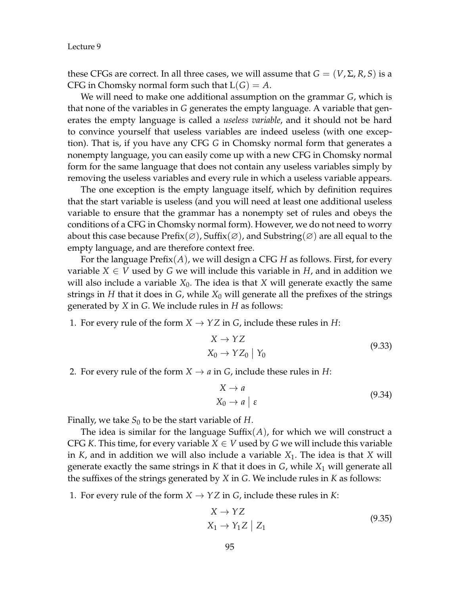these CFGs are correct. In all three cases, we will assume that  $G = (V, \Sigma, R, S)$  is a CFG in Chomsky normal form such that  $L(G) = A$ .

We will need to make one additional assumption on the grammar *G*, which is that none of the variables in *G* generates the empty language. A variable that generates the empty language is called a *useless variable*, and it should not be hard to convince yourself that useless variables are indeed useless (with one exception). That is, if you have any CFG *G* in Chomsky normal form that generates a nonempty language, you can easily come up with a new CFG in Chomsky normal form for the same language that does not contain any useless variables simply by removing the useless variables and every rule in which a useless variable appears.

The one exception is the empty language itself, which by definition requires that the start variable is useless (and you will need at least one additional useless variable to ensure that the grammar has a nonempty set of rules and obeys the conditions of a CFG in Chomsky normal form). However, we do not need to worry about this case because  $\text{Prefix}(\varnothing)$ , Suffix $(\varnothing)$ , and Substring $(\varnothing)$  are all equal to the empty language, and are therefore context free.

For the language Prefix(*A*), we will design a CFG *H* as follows. First, for every variable  $X \in V$  used by *G* we will include this variable in *H*, and in addition we will also include a variable  $X_0$ . The idea is that  $X$  will generate exactly the same strings in  $H$  that it does in  $G$ , while  $X_0$  will generate all the prefixes of the strings generated by *X* in *G*. We include rules in *H* as follows:

1. For every rule of the form  $X \to YZ$  in *G*, include these rules in *H*:

$$
X \to YZ
$$
  
\n
$$
X_0 \to YZ_0 \mid Y_0
$$
\n(9.33)

2. For every rule of the form  $X \to a$  in  $G$ , include these rules in  $H$ :

$$
X \to a
$$
  
\n
$$
X_0 \to a \mid \varepsilon
$$
\n(9.34)

Finally, we take  $S_0$  to be the start variable of *H*.

The idea is similar for the language Suffix $(A)$ , for which we will construct a CFG *K*. This time, for every variable  $X \in V$  used by *G* we will include this variable in *K*, and in addition we will also include a variable *X*1. The idea is that *X* will generate exactly the same strings in  $K$  that it does in  $G$ , while  $X_1$  will generate all the suffixes of the strings generated by *X* in *G*. We include rules in *K* as follows:

1. For every rule of the form  $X \to YZ$  in *G*, include these rules in *K*:

$$
X \to YZ
$$
  
\n
$$
X_1 \to Y_1Z \mid Z_1
$$
\n(9.35)